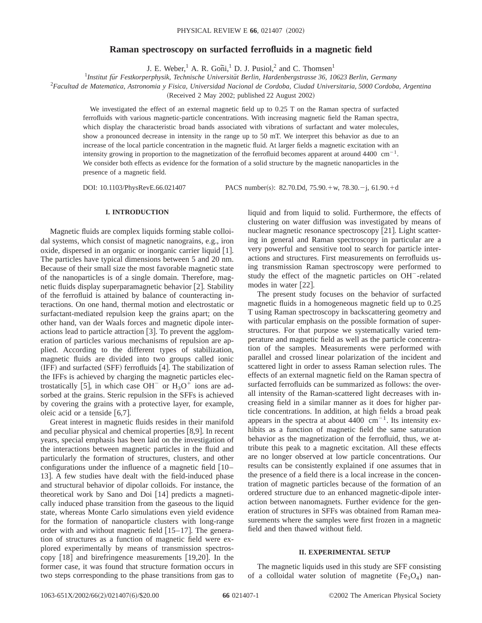# **Raman spectroscopy on surfacted ferrofluids in a magnetic field**

J. E. Weber,<sup>1</sup> A. R. Goni,<sup>1</sup> D. J. Pusiol,<sup>2</sup> and C. Thomsen<sup>1</sup>

<sup>1</sup>Institut für Festkorperphysik, Technische Universität Berlin, Hardenbergstrasse 36, 10623 Berlin, Germany

2 *Facultad de Matematica, Astronomia y Fisica, Universidad Nacional de Cordoba, Ciudad Universitaria, 5000 Cordoba, Argentina*

(Received 2 May 2002; published 22 August 2002)

We investigated the effect of an external magnetic field up to 0.25 T on the Raman spectra of surfacted ferrofluids with various magnetic-particle concentrations. With increasing magnetic field the Raman spectra, which display the characteristic broad bands associated with vibrations of surfactant and water molecules, show a pronounced decrease in intensity in the range up to 50 mT. We interpret this behavior as due to an increase of the local particle concentration in the magnetic fluid. At larger fields a magnetic excitation with an intensity growing in proportion to the magnetization of the ferrofluid becomes apparent at around 4400  $\text{cm}^{-1}$ . We consider both effects as evidence for the formation of a solid structure by the magnetic nanoparticles in the presence of a magnetic field.

DOI: 10.1103/PhysRevE.66.021407 PACS number(s): 82.70.Dd, 75.90.+w, 78.30.-j, 61.90.+d

# **I. INTRODUCTION**

Magnetic fluids are complex liquids forming stable colloidal systems, which consist of magnetic nanograins, e.g., iron oxide, dispersed in an organic or inorganic carrier liquid [1]. The particles have typical dimensions between 5 and 20 nm. Because of their small size the most favorable magnetic state of the nanoparticles is of a single domain. Therefore, magnetic fluids display superparamagnetic behavior  $[2]$ . Stability of the ferrofluid is attained by balance of counteracting interactions. On one hand, thermal motion and electrostatic or surfactant-mediated repulsion keep the grains apart; on the other hand, van der Waals forces and magnetic dipole interactions lead to particle attraction  $\lceil 3 \rceil$ . To prevent the agglomeration of particles various mechanisms of repulsion are applied. According to the different types of stabilization, magnetic fluids are divided into two groups called ionic  $(IFF)$  and surfacted  $(SFF)$  ferrofluids  $[4]$ . The stabilization of the IFFs is achieved by charging the magnetic particles electrostatically [5], in which case OH<sup>-</sup> or  $H_3O^+$  ions are adsorbed at the grains. Steric repulsion in the SFFs is achieved by covering the grains with a protective layer, for example, oleic acid or a tenside  $[6,7]$ .

Great interest in magnetic fluids resides in their manifold and peculiar physical and chemical properties  $[8,9]$ . In recent years, special emphasis has been laid on the investigation of the interactions between magnetic particles in the fluid and particularly the formation of structures, clusters, and other configurations under the influence of a magnetic field  $\lceil 10 -$ 13]. A few studies have dealt with the field-induced phase and structural behavior of dipolar colloids. For instance, the theoretical work by Sano and Doi  $[14]$  predicts a magnetically induced phase transition from the gaseous to the liquid state, whereas Monte Carlo simulations even yield evidence for the formation of nanoparticle clusters with long-range order with and without magnetic field  $[15-17]$ . The generation of structures as a function of magnetic field were explored experimentally by means of transmission spectroscopy  $\lceil 18 \rceil$  and birefringence measurements  $\lceil 19,20 \rceil$ . In the former case, it was found that structure formation occurs in two steps corresponding to the phase transitions from gas to

liquid and from liquid to solid. Furthermore, the effects of clustering on water diffusion was investigated by means of nuclear magnetic resonance spectroscopy  $[21]$ . Light scattering in general and Raman spectroscopy in particular are a very powerful and sensitive tool to search for particle interactions and structures. First measurements on ferrofluids using transmission Raman spectroscopy were performed to study the effect of the magnetic particles on OH<sup>-</sup>-related modes in water  $[22]$ .

The present study focuses on the behavior of surfacted magnetic fluids in a homogeneous magnetic field up to 0.25 T using Raman spectroscopy in backscattering geometry and with particular emphasis on the possible formation of superstructures. For that purpose we systematically varied temperature and magnetic field as well as the particle concentration of the samples. Measurements were performed with parallel and crossed linear polarization of the incident and scattered light in order to assess Raman selection rules. The effects of an external magnetic field on the Raman spectra of surfacted ferrofluids can be summarized as follows: the overall intensity of the Raman-scattered light decreases with increasing field in a similar manner as it does for higher particle concentrations. In addition, at high fields a broad peak appears in the spectra at about  $4400 \text{ cm}^{-1}$ . Its intensity exhibits as a function of magnetic field the same saturation behavior as the magnetization of the ferrofluid, thus, we attribute this peak to a magnetic excitation. All these effects are no longer observed at low particle concentrations. Our results can be consistently explained if one assumes that in the presence of a field there is a local increase in the concentration of magnetic particles because of the formation of an ordered structure due to an enhanced magnetic-dipole interaction between nanomagnets. Further evidence for the generation of structures in SFFs was obtained from Raman measurements where the samples were first frozen in a magnetic field and then thawed without field.

#### **II. EXPERIMENTAL SETUP**

The magnetic liquids used in this study are SFF consisting of a colloidal water solution of magnetite  $(Fe<sub>3</sub>O<sub>4</sub>)$  nan-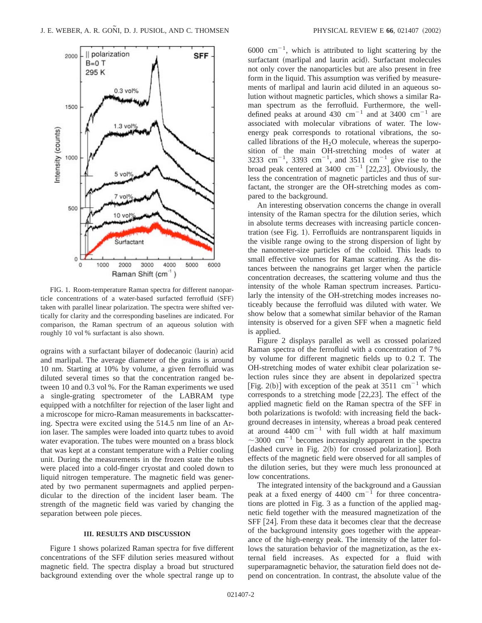

FIG. 1. Room-temperature Raman spectra for different nanoparticle concentrations of a water-based surfacted ferrofluid (SFF) taken with parallel linear polarization. The spectra were shifted vertically for clarity and the corresponding baselines are indicated. For comparison, the Raman spectrum of an aqueous solution with roughly 10 vol % surfactant is also shown.

ograins with a surfactant bilayer of dodecanoic (laurin) acid and marlipal. The average diameter of the grains is around 10 nm. Starting at 10% by volume, a given ferrofluid was diluted several times so that the concentration ranged between 10 and 0.3 vol %. For the Raman experiments we used a single-grating spectrometer of the LABRAM type equipped with a notchfilter for rejection of the laser light and a microscope for micro-Raman measurements in backscattering. Spectra were excited using the 514.5 nm line of an Arion laser. The samples were loaded into quartz tubes to avoid water evaporation. The tubes were mounted on a brass block that was kept at a constant temperature with a Peltier cooling unit. During the measurements in the frozen state the tubes were placed into a cold-finger cryostat and cooled down to liquid nitrogen temperature. The magnetic field was generated by two permanent supermagnets and applied perpendicular to the direction of the incident laser beam. The strength of the magnetic field was varied by changing the separation between pole pieces.

### **III. RESULTS AND DISCUSSION**

Figure 1 shows polarized Raman spectra for five different concentrations of the SFF dilution series measured without magnetic field. The spectra display a broad but structured background extending over the whole spectral range up to

 $6000 \text{ cm}^{-1}$ , which is attributed to light scattering by the surfactant (marlipal and laurin acid). Surfactant molecules not only cover the nanoparticles but are also present in free form in the liquid. This assumption was verified by measurements of marlipal and laurin acid diluted in an aqueous solution without magnetic particles, which shows a similar Raman spectrum as the ferrofluid. Furthermore, the welldefined peaks at around 430  $\text{cm}^{-1}$  and at 3400  $\text{cm}^{-1}$  are associated with molecular vibrations of water. The lowenergy peak corresponds to rotational vibrations, the socalled librations of the  $H_2O$  molecule, whereas the superposition of the main OH-stretching modes of water at 3233 cm<sup>-1</sup>, 3393 cm<sup>-1</sup>, and 3511 cm<sup>-1</sup> give rise to the broad peak centered at  $3400 \text{ cm}^{-1}$  [22,23]. Obviously, the less the concentration of magnetic particles and thus of surfactant, the stronger are the OH-stretching modes as compared to the background.

An interesting observation concerns the change in overall intensity of the Raman spectra for the dilution series, which in absolute terms decreases with increasing particle concentration (see Fig. 1). Ferrofluids are nontransparent liquids in the visible range owing to the strong dispersion of light by the nanometer-size particles of the colloid. This leads to small effective volumes for Raman scattering. As the distances between the nanograins get larger when the particle concentration decreases, the scattering volume and thus the intensity of the whole Raman spectrum increases. Particularly the intensity of the OH-stretching modes increases noticeably because the ferrofluid was diluted with water. We show below that a somewhat similar behavior of the Raman intensity is observed for a given SFF when a magnetic field is applied.

Figure 2 displays parallel as well as crossed polarized Raman spectra of the ferrofluid with a concentration of 7 % by volume for different magnetic fields up to 0.2 T. The OH-stretching modes of water exhibit clear polarization selection rules since they are absent in depolarized spectra [Fig. 2(b)] with exception of the peak at  $3511 \text{ cm}^{-1}$  which corresponds to a stretching mode  $[22,23]$ . The effect of the applied magnetic field on the Raman spectra of the SFF in both polarizations is twofold: with increasing field the background decreases in intensity, whereas a broad peak centered at around  $4400 \text{ cm}^{-1}$  with full width at half maximum  $\sim$ 3000 cm<sup>-1</sup> becomes increasingly apparent in the spectra [dashed curve in Fig. 2(b) for crossed polarization]. Both effects of the magnetic field were observed for all samples of the dilution series, but they were much less pronounced at low concentrations.

The integrated intensity of the background and a Gaussian peak at a fixed energy of  $4400 \text{ cm}^{-1}$  for three concentrations are plotted in Fig. 3 as a function of the applied magnetic field together with the measured magnetization of the SFF [24]. From these data it becomes clear that the decrease of the background intensity goes together with the appearance of the high-energy peak. The intensity of the latter follows the saturation behavior of the magnetization, as the external field increases. As expected for a fluid with superparamagnetic behavior, the saturation field does not depend on concentration. In contrast, the absolute value of the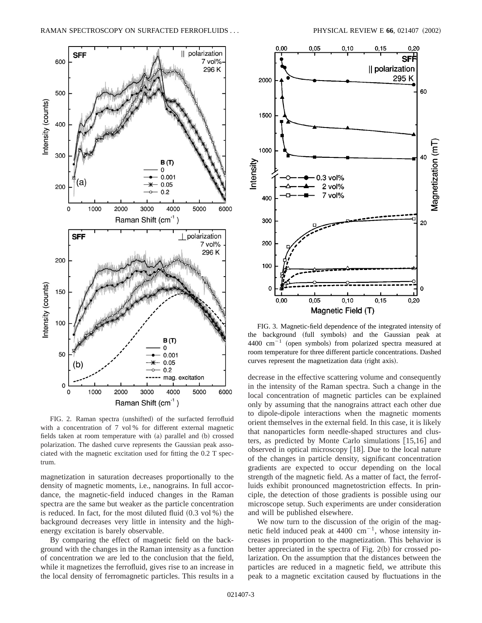

FIG. 2. Raman spectra (unshifted) of the surfacted ferrofluid with a concentration of 7 vol % for different external magnetic fields taken at room temperature with  $(a)$  parallel and  $(b)$  crossed polarization. The dashed curve represents the Gaussian peak associated with the magnetic excitation used for fitting the 0.2 T spectrum.

magnetization in saturation decreases proportionally to the density of magnetic moments, i.e., nanograins. In full accordance, the magnetic-field induced changes in the Raman spectra are the same but weaker as the particle concentration is reduced. In fact, for the most diluted fluid  $(0.3 \text{ vol } \%)$  the background decreases very little in intensity and the highenergy excitation is barely observable.

By comparing the effect of magnetic field on the background with the changes in the Raman intensity as a function of concentration we are led to the conclusion that the field, while it magnetizes the ferrofluid, gives rise to an increase in the local density of ferromagnetic particles. This results in a



FIG. 3. Magnetic-field dependence of the integrated intensity of the background (full symbols) and the Gaussian peak at 4400  $cm^{-1}$  (open symbols) from polarized spectra measured at room temperature for three different particle concentrations. Dashed curves represent the magnetization data (right axis).

decrease in the effective scattering volume and consequently in the intensity of the Raman spectra. Such a change in the local concentration of magnetic particles can be explained only by assuming that the nanograins attract each other due to dipole-dipole interactions when the magnetic moments orient themselves in the external field. In this case, it is likely that nanoparticles form needle-shaped structures and clusters, as predicted by Monte Carlo simulations  $[15,16]$  and observed in optical microscopy [18]. Due to the local nature of the changes in particle density, significant concentration gradients are expected to occur depending on the local strength of the magnetic field. As a matter of fact, the ferrofluids exhibit pronounced magnetostriction effects. In principle, the detection of those gradients is possible using our microscope setup. Such experiments are under consideration and will be published elsewhere.

We now turn to the discussion of the origin of the magnetic field induced peak at 4400  $cm^{-1}$ , whose intensity increases in proportion to the magnetization. This behavior is better appreciated in the spectra of Fig.  $2(b)$  for crossed polarization. On the assumption that the distances between the particles are reduced in a magnetic field, we attribute this peak to a magnetic excitation caused by fluctuations in the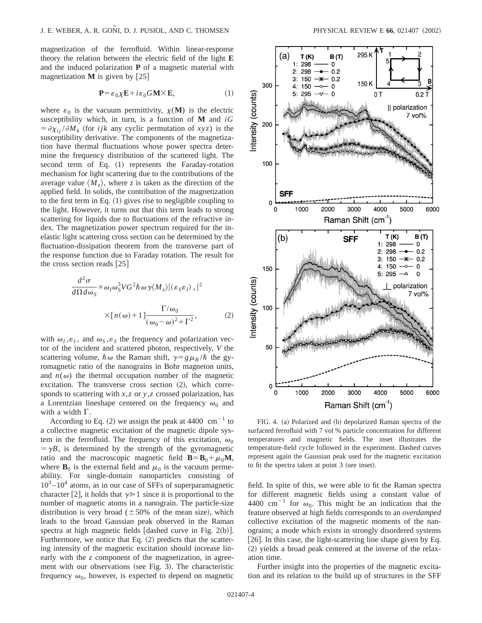magnetization of the ferrofluid. Within linear-response theory the relation between the electric field of the light **E** and the induced polarization **P** of a magnetic material with magnetization  $M$  is given by [25]

$$
\mathbf{P} = \varepsilon_0 \chi \mathbf{E} + i \varepsilon_0 G \mathbf{M} \times \mathbf{E},\tag{1}
$$

where  $\varepsilon_0$  is the vacuum permittivity,  $\chi(M)$  is the electric susceptibility which, in turn, is a function of **M** and *iG*  $= \partial \chi_{ii} / \partial M_k$  (for *ijk* any cyclic permutation of *xyz*) is the susceptibility derivative. The components of the magnetization have thermal fluctuations whose power spectra determine the frequency distribution of the scattered light. The second term of Eq.  $(1)$  represents the Faraday-rotation mechanism for light scattering due to the contributions of the average value  $\langle M_z \rangle$ , where *z* is taken as the direction of the applied field. In solids, the contribution of the magnetization to the first term in Eq.  $(1)$  gives rise to negligible coupling to the light. However, it turns out that this term leads to strong scattering for liquids due to fluctuations of the refractive index. The magnetization power spectrum required for the inelastic light scattering cross section can be determined by the fluctuation-dissipation theorem from the transverse part of the response function due to Faraday rotation. The result for the cross section reads  $[25]$ 

$$
\frac{d^2\sigma}{d\Omega d\omega_S} \propto \omega_I \omega_S^3 V G^2 \hbar \omega \gamma \langle M_z \rangle |(\varepsilon_S \varepsilon_I)_+|^2
$$
  
 
$$
\times [n(\omega) + 1] \frac{\Gamma/\omega_0}{(\omega_0 - \omega)^2 + \Gamma^2}, \qquad (2)
$$

with  $\omega_I, \varepsilon_I$ , and  $\omega_S, \varepsilon_S$  the frequency and polarization vector of the incident and scattered photon, respectively, *V* the scattering volume,  $\hbar \omega$  the Raman shift,  $\gamma = g \mu_B / \hbar$  the gyromagnetic ratio of the nanograins in Bohr magneton units, and  $n(\omega)$  the thermal occupation number of the magnetic excitation. The transverse cross section  $(2)$ , which corresponds to scattering with *x*,*z* or *y*,*z* crossed polarization, has a Lorentzian lineshape centered on the frequency  $\omega_0$  and with a width  $\Gamma$ .

According to Eq. (2) we assign the peak at 4400  $cm^{-1}$  to a collective magnetic excitation of the magnetic dipole system in the ferrofluid. The frequency of this excitation,  $\omega_0$  $= \gamma B$ , is determined by the strength of the gyromagnetic ratio and the macroscopic magnetic field  $\mathbf{B} = \mathbf{B}_0 + \mu_0 \mathbf{M}$ , where  $\mathbf{B}_0$  is the external field and  $\mu_0$  is the vacuum permeability. For single-domain nanoparticles consisting of  $10^3 - 10^4$  atoms, as in our case of SFFs of superparamagnetic character [2], it holds that  $\gamma \geq 1$  since it is proportional to the number of magnetic atoms in a nanograin. The particle-size distribution is very broad ( $\pm 50\%$  of the mean size), which leads to the broad Gaussian peak observed in the Raman spectra at high magnetic fields  $[dashed curve in Fig. 2(b)].$ Furthermore, we notice that Eq.  $(2)$  predicts that the scattering intensity of the magnetic excitation should increase linearly with the *z* component of the magnetization, in agreement with our observations (see Fig. 3). The characteristic frequency  $\omega_0$ , however, is expected to depend on magnetic



FIG. 4. (a) Polarized and (b) depolarized Raman spectra of the surfacted ferrofluid with 7 vol % particle concentration for different temperatures and magnetic fields. The inset illustrates the temperature-field cycle followed in the experiment. Dashed curves represent again the Gaussian peak used for the magnetic excitation to fit the spectra taken at point  $3$  (see inset).

field. In spite of this, we were able to fit the Raman spectra for different magnetic fields using a constant value of 4400 cm<sup>-1</sup> for  $\omega_0$ . This might be an indication that the feature observed at high fields corresponds to an *overdamped* collective excitation of the magnetic moments of the nanograins; a mode which exists in strongly disordered systems [ $26$ ]. In this case, the light-scattering line shape given by Eq.  $(2)$  yields a broad peak centered at the inverse of the relaxation time.

Further insight into the properties of the magnetic excitation and its relation to the build up of structures in the SFF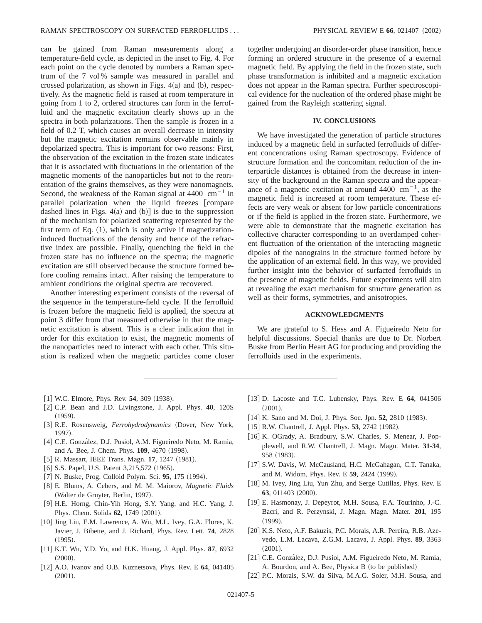can be gained from Raman measurements along a temperature-field cycle, as depicted in the inset to Fig. 4. For each point on the cycle denoted by numbers a Raman spectrum of the 7 vol % sample was measured in parallel and crossed polarization, as shown in Figs.  $4(a)$  and  $(b)$ , respectively. As the magnetic field is raised at room temperature in going from 1 to 2, ordered structures can form in the ferrofluid and the magnetic excitation clearly shows up in the spectra in both polarizations. Then the sample is frozen in a field of 0.2 T, which causes an overall decrease in intensity but the magnetic excitation remains observable mainly in depolarized spectra. This is important for two reasons: First, the observation of the excitation in the frozen state indicates that it is associated with fluctuations in the orientation of the magnetic moments of the nanoparticles but not to the reorientation of the grains themselves, as they were nanomagnets. Second, the weakness of the Raman signal at  $4400 \text{ cm}^{-1}$  in parallel polarization when the liquid freezes [compare dashed lines in Figs.  $4(a)$  and  $(b)$ ] is due to the suppression of the mechanism for polarized scattering represented by the first term of Eq.  $(1)$ , which is only active if magnetizationinduced fluctuations of the density and hence of the refractive index are possible. Finally, quenching the field in the frozen state has no influence on the spectra; the magnetic excitation are still observed because the structure formed before cooling remains intact. After raising the temperature to ambient conditions the original spectra are recovered.

Another interesting experiment consists of the reversal of the sequence in the temperature-field cycle. If the ferrofluid is frozen before the magnetic field is applied, the spectra at point 3 differ from that measured otherwise in that the magnetic excitation is absent. This is a clear indication that in order for this excitation to exist, the magnetic moments of the nanoparticles need to interact with each other. This situation is realized when the magnetic particles come closer

together undergoing an disorder-order phase transition, hence forming an ordered structure in the presence of a external magnetic field. By applying the field in the frozen state, such phase transformation is inhibited and a magnetic excitation does not appear in the Raman spectra. Further spectroscopical evidence for the nucleation of the ordered phase might be gained from the Rayleigh scattering signal.

## **IV. CONCLUSIONS**

We have investigated the generation of particle structures induced by a magnetic field in surfacted ferrofluids of different concentrations using Raman spectroscopy. Evidence of structure formation and the concomitant reduction of the interparticle distances is obtained from the decrease in intensity of the background in the Raman spectra and the appearance of a magnetic excitation at around  $4400 \text{ cm}^{-1}$ , as the magnetic field is increased at room temperature. These effects are very weak or absent for low particle concentrations or if the field is applied in the frozen state. Furthermore, we were able to demonstrate that the magnetic excitation has collective character corresponding to an overdamped coherent fluctuation of the orientation of the interacting magnetic dipoles of the nanograins in the structure formed before by the application of an external field. In this way, we provided further insight into the behavior of surfacted ferrofluids in the presence of magnetic fields. Future experiments will aim at revealing the exact mechanism for structure generation as well as their forms, symmetries, and anisotropies.

## **ACKNOWLEDGMENTS**

We are grateful to S. Hess and A. Figueiredo Neto for helpful discussions. Special thanks are due to Dr. Norbert Buske from Berlin Heart AG for producing and providing the ferrofluids used in the experiments.

- $[1]$  W.C. Elmore, Phys. Rev. **54**, 309  $(1938)$ .
- [2] C.P. Bean and J.D. Livingstone, J. Appl. Phys. 40, 120S  $(1959).$
- [3] R.E. Rosensweig, *Ferrohydrodynamics* (Dover, New York, 1997).
- [4] C.E. González, D.J. Pusiol, A.M. Figueiredo Neto, M. Ramia, and A. Bee, J. Chem. Phys. **109**, 4670 (1998).
- [5] R. Massart, IEEE Trans. Magn. **17**, 1247 (1981).
- [6] S.S. Papel, U.S. Patent 3,215,572 (1965).
- [7] N. Buske, Prog. Colloid Polym. Sci. **95**, 175 (1994).
- [8] E. Blums, A. Cebers, and M. M. Maiorov, *Magnetic Fluids* (Walter de Gruyter, Berlin, 1997).
- [9] H.E. Horng, Chin-Yih Hong, S.Y. Yang, and H.C. Yang, J. Phys. Chem. Solids **62**, 1749 (2001).
- [10] Jing Liu, E.M. Lawrence, A. Wu, M.L. Ivey, G.A. Flores, K. Javier, J. Bibette, and J. Richard, Phys. Rev. Lett. **74**, 2828  $(1995).$
- [11] K.T. Wu, Y.D. Yo, and H.K. Huang, J. Appl. Phys. 87, 6932  $(2000).$
- [12] A.O. Ivanov and O.B. Kuznetsova, Phys. Rev. E 64, 041405  $(2001).$
- [13] D. Lacoste and T.C. Lubensky, Phys. Rev. E 64, 041506  $(2001).$
- [14] K. Sano and M. Doi, J. Phys. Soc. Jpn. **52**, 2810 (1983).
- [15] R.W. Chantrell, J. Appl. Phys. 53, 2742 (1982).
- [16] K. OGrady, A. Bradbury, S.W. Charles, S. Menear, J. Popplewell, and R.W. Chantrell, J. Magn. Magn. Mater. **31-34**, 958 (1983).
- [17] S.W. Davis, W. McCausland, H.C. McGahagan, C.T. Tanaka, and M. Widom, Phys. Rev. E 59, 2424 (1999).
- [18] M. Ivey, Jing Liu, Yun Zhu, and Serge Cutillas, Phys. Rev. E **63**, 011403 (2000).
- [19] E. Hasmonay, J. Depeyrot, M.H. Sousa, F.A. Tourinho, J.-C. Bacri, and R. Perzynski, J. Magn. Magn. Mater. **201**, 195  $(1999)$ .
- [20] K.S. Neto, A.F. Bakuzis, P.C. Morais, A.R. Pereira, R.B. Azevedo, L.M. Lacava, Z.G.M. Lacava, J. Appl. Phys. **89**, 3363  $(2001).$
- [21] C.E. González, D.J. Pusiol, A.M. Figueiredo Neto, M. Ramia, A. Bourdon, and A. Bee, Physica B (to be published)
- [22] P.C. Morais, S.W. da Silva, M.A.G. Soler, M.H. Sousa, and